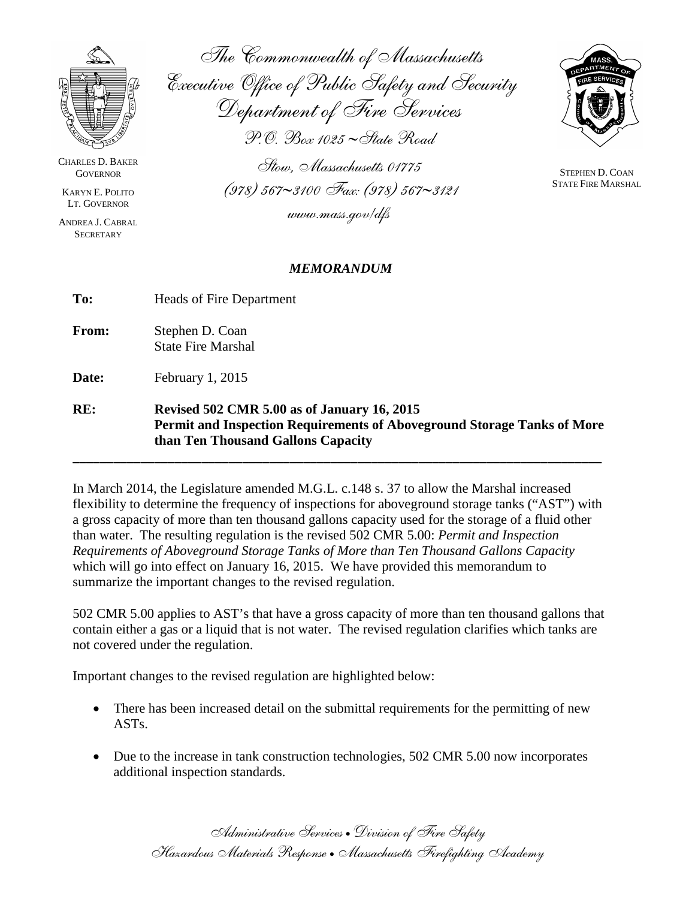

CHARLES D. BAKER **GOVERNOR** 

KARYN E. POLITO LT. GOVERNOR

ANDREA J. CABRAL **SECRETARY** 

The Commonwealth of Massachusetts Executive Office of Public Safety and Security Department of Fire Services

P.O. Box 1025 ∼State Road

Stow, Massachusetts 01775 (978) 567∼3100 Fax: (978) 567∼3121 www.mass.gov/dfs

## *MEMORANDUM*

**To:** Heads of Fire Department

**From:** Stephen D. Coan State Fire Marshal

**Date:** February 1, 2015

**RE: Revised 502 CMR 5.00 as of January 16, 2015 Permit and Inspection Requirements of Aboveground Storage Tanks of More than Ten Thousand Gallons Capacity**

**\_\_\_\_\_\_\_\_\_\_\_\_\_\_\_\_\_\_\_\_\_\_\_\_\_\_\_\_\_\_\_\_\_\_\_\_\_\_\_\_\_\_\_\_\_\_\_\_\_\_\_\_\_\_\_\_\_\_\_\_\_\_\_\_\_\_\_\_\_\_\_\_\_\_\_\_\_\_**

In March 2014, the Legislature amended M.G.L. c.148 s. 37 to allow the Marshal increased flexibility to determine the frequency of inspections for aboveground storage tanks ("AST") with a gross capacity of more than ten thousand gallons capacity used for the storage of a fluid other than water. The resulting regulation is the revised 502 CMR 5.00: *Permit and Inspection Requirements of Aboveground Storage Tanks of More than Ten Thousand Gallons Capacity* which will go into effect on January 16, 2015. We have provided this memorandum to summarize the important changes to the revised regulation.

502 CMR 5.00 applies to AST's that have a gross capacity of more than ten thousand gallons that contain either a gas or a liquid that is not water. The revised regulation clarifies which tanks are not covered under the regulation.

Important changes to the revised regulation are highlighted below:

- There has been increased detail on the submittal requirements for the permitting of new ASTs.
- Due to the increase in tank construction technologies, 502 CMR 5.00 now incorporates additional inspection standards.



STEPHEN D. COAN STATE FIRE MARSHAL